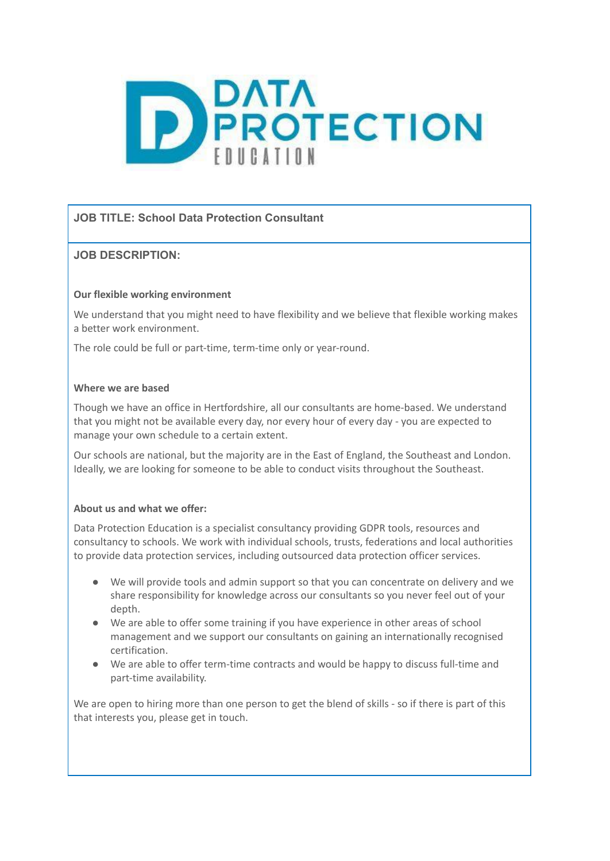

# **JOB TITLE: School Data Protection Consultant**

# **JOB DESCRIPTION:**

### **Our flexible working environment**

We understand that you might need to have flexibility and we believe that flexible working makes a better work environment.

The role could be full or part-time, term-time only or year-round.

### **Where we are based**

Though we have an office in Hertfordshire, all our consultants are home-based. We understand that you might not be available every day, nor every hour of every day - you are expected to manage your own schedule to a certain extent.

Our schools are national, but the majority are in the East of England, the Southeast and London. Ideally, we are looking for someone to be able to conduct visits throughout the Southeast.

### **About us and what we offer:**

Data Protection Education is a specialist consultancy providing GDPR tools, resources and consultancy to schools. We work with individual schools, trusts, federations and local authorities to provide data protection services, including outsourced data protection officer services.

- We will provide tools and admin support so that you can concentrate on delivery and we share responsibility for knowledge across our consultants so you never feel out of your depth.
- We are able to offer some training if you have experience in other areas of school management and we support our consultants on gaining an internationally recognised certification.
- We are able to offer term-time contracts and would be happy to discuss full-time and part-time availability.

We are open to hiring more than one person to get the blend of skills - so if there is part of this that interests you, please get in touch.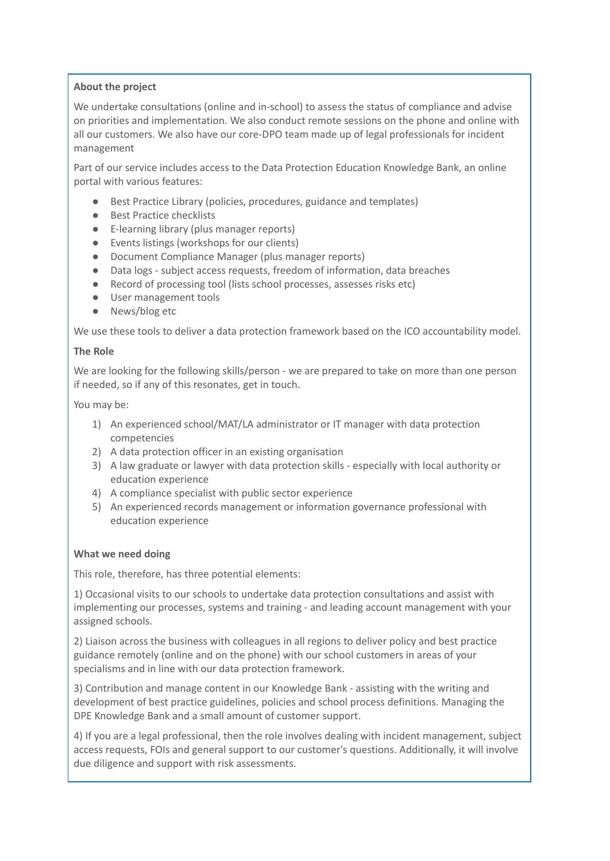### **About the project**

We undertake consultations (online and in-school) to assess the status of compliance and advise on priorities and implementation. We also conduct remote sessions on the phone and online with all our customers. We also have our core-DPO team made up of legal professionals for incident management

Part of our service includes access to the Data Protection Education Knowledge Bank, an online portal with various features:

- Best Practice Library (policies, procedures, guidance and templates)
- Best Practice checklists
- E-learning library (plus manager reports)
- Events listings (workshops for our clients)
- Document Compliance Manager (plus manager reports)
- Data logs subject access requests, freedom of information, data breaches
- Record of processing tool (lists school processes, assesses risks etc)
- User management tools
- News/blog etc

We use these tools to deliver a data protection framework based on the ICO accountability model.

#### **The Role**

We are looking for the following skills/person - we are prepared to take on more than one person if needed, so if any of this resonates, get in touch.

You may be:

- 1) An experienced school/MAT/LA administrator or IT manager with data protection competencies
- 2) A data protection officer in an existing organisation
- 3) A law graduate or lawyer with data protection skills especially with local authority or education experience
- 4) A compliance specialist with public sector experience
- 5) An experienced records management or information governance professional with education experience

# **What we need doing**

This role, therefore, has three potential elements:

1) Occasional visits to our schools to undertake data protection consultations and assist with implementing our processes, systems and training - and leading account management with your assigned schools.

2) Liaison across the business with colleagues in all regions to deliver policy and best practice guidance remotely (online and on the phone) with our school customers in areas of your specialisms and in line with our data protection framework.

3) Contribution and manage content in our Knowledge Bank - assisting with the writing and development of best practice guidelines, policies and school process definitions. Managing the DPE Knowledge Bank and a small amount of customer support.

4) If you are a legal professional, then the role involves dealing with incident management, subject access requests, FOIs and general support to our customer's questions. Additionally, it will involve due diligence and support with risk assessments.